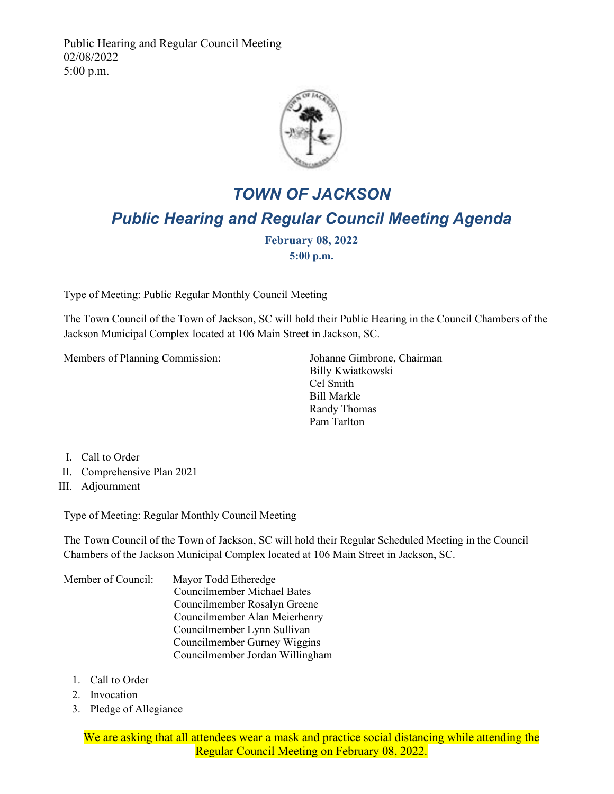Public Hearing and Regular Council Meeting 02/08/2022 5:00 p.m.



## *TOWN OF JACKSON Public Hearing and Regular Council Meeting Agenda*

**February 08, 2022 5:00 p.m.**

Type of Meeting: Public Regular Monthly Council Meeting

The Town Council of the Town of Jackson, SC will hold their Public Hearing in the Council Chambers of the Jackson Municipal Complex located at 106 Main Street in Jackson, SC.

Members of Planning Commission: Johanne Gimbrone, Chairman

 Billy Kwiatkowski Cel Smith Bill Markle Randy Thomas Pam Tarlton

- I. Call to Order
- II. Comprehensive Plan 2021
- III. Adjournment

Type of Meeting: Regular Monthly Council Meeting

The Town Council of the Town of Jackson, SC will hold their Regular Scheduled Meeting in the Council Chambers of the Jackson Municipal Complex located at 106 Main Street in Jackson, SC.

Member of Council: Mayor Todd Etheredge Councilmember Michael Bates Councilmember Rosalyn Greene Councilmember Alan Meierhenry Councilmember Lynn Sullivan Councilmember Gurney Wiggins Councilmember Jordan Willingham

- 1. Call to Order
- 2. Invocation
- 3. Pledge of Allegiance

We are asking that all attendees wear a mask and practice social distancing while attending the Regular Council Meeting on February 08, 2022.